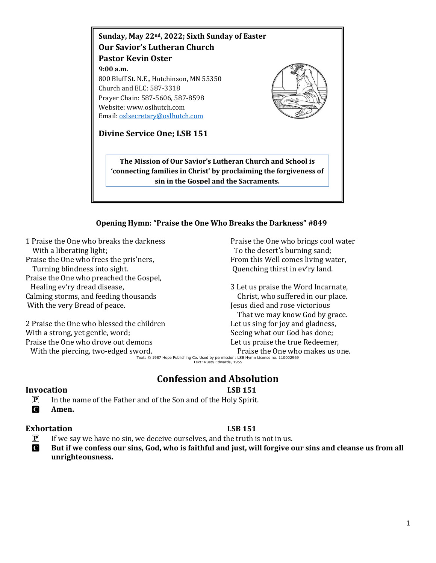

## **Opening Hymn: "Praise the One Who Breaks the Darkness" #849**

1 Praise the One who breaks the darkness With a liberating light; Praise the One who frees the pris'ners, Turning blindness into sight. Praise the One who preached the Gospel, Healing ev'ry dread disease, Calming storms, and feeding thousands With the very Bread of peace.

2 Praise the One who blessed the children With a strong, yet gentle, word; Praise the One who drove out demons

With the piercing, two-edged sword.

Praise the One who brings cool water To the desert's burning sand; From this Well comes living water, Quenching thirst in ev'ry land.

3 Let us praise the Word Incarnate, Christ, who suffered in our place. Jesus died and rose victorious That we may know God by grace. Let us sing for joy and gladness, Seeing what our God has done; Let us praise the true Redeemer, Praise the One who makes us one.

Text: © 1987 Hope Publishing Co. Used by permission: LSB Hymn License no. 110002969 Text: Rusty Edwards, 1955

## **Confession and Absolution**

#### **Invocation LSB 151**

P In the name of the Father and of the Son and of the Holy Spirit.

C **Amen.**

### **Exhortation LSB 151**

 $\boxed{\mathbf{P}}$  If we say we have no sin, we deceive ourselves, and the truth is not in us.

C **But if we confess our sins, God, who is faithful and just, will forgive our sins and cleanse us from all unrighteousness.**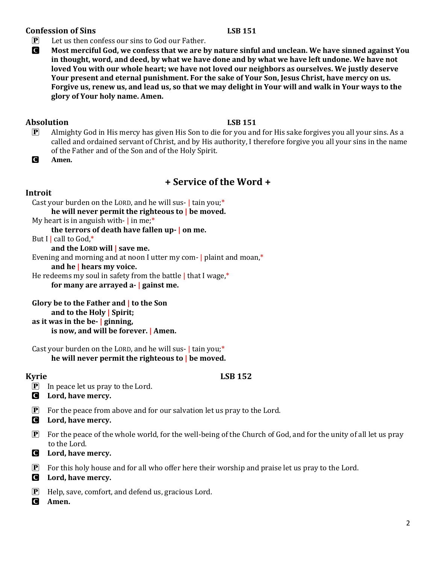## **Confession of Sins LSB 151**

 $\left| \mathbf{P} \right|$  Let us then confess our sins to God our Father.

C **Most merciful God, we confess that we are by nature sinful and unclean. We have sinned against You in thought, word, and deed, by what we have done and by what we have left undone. We have not loved You with our whole heart; we have not loved our neighbors as ourselves. We justly deserve Your present and eternal punishment. For the sake of Your Son, Jesus Christ, have mercy on us. Forgive us, renew us, and lead us, so that we may delight in Your will and walk in Your ways to the glory of Your holy name. Amen.**

## **Absolution LSB 151**

- P Almighty God in His mercy has given His Son to die for you and for His sake forgives you all your sins. As a called and ordained servant of Christ, and by His authority, I therefore forgive you all your sins in the name of the Father and of the Son and of the Holy Spirit.
- C **Amen.**

# **+ Service of the Word +**

## **Introit**

Cast your burden on the LORD, and he will sus- | tain you;\* **he will never permit the righteous to | be moved.** My heart is in anguish with- $\vert$  in me;<sup>\*</sup> **the terrors of death have fallen up- | on me.** But I | call to  $God,*$ **and the LORD will | save me.** Evening and morning and at noon I utter my com- | plaint and moan,\* **and he | hears my voice.** He redeems my soul in safety from the battle | that I wage,\* **for many are arrayed a- | gainst me.**

```
Glory be to the Father and | to the Son
     and to the Holy | Spirit;
as it was in the be- | ginning,
     is now, and will be forever. | Amen.
```
Cast your burden on the LORD, and he will sus- $\vert$  tain you;\* **he will never permit the righteous to | be moved.**

## **Kyrie LSB 152**

- $\boxed{\mathbf{P}}$  In peace let us pray to the Lord.
- C **Lord, have mercy.**
- $\mathbf{P}$  For the peace from above and for our salvation let us pray to the Lord.
- C **Lord, have mercy.**
- $\mathbf{P}$  For the peace of the whole world, for the well-being of the Church of God, and for the unity of all let us pray to the Lord.
- C **Lord, have mercy.**
- $\mathbf{P}$  For this holy house and for all who offer here their worship and praise let us pray to the Lord.
- C **Lord, have mercy.**
- P Help, save, comfort, and defend us, gracious Lord.
- C **Amen.**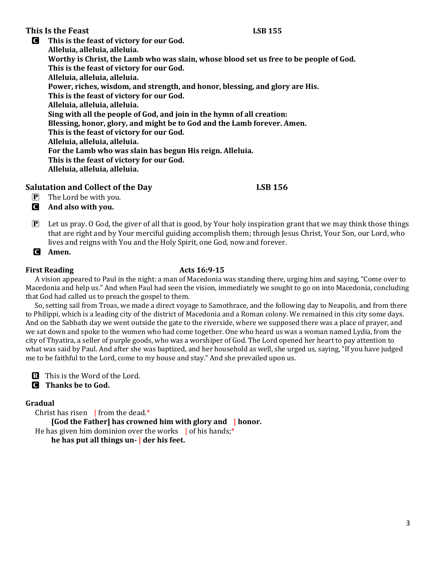### **This Is the Feast LSB 155**

C **This is the feast of victory for our God. Alleluia, alleluia, alleluia. Worthy is Christ, the Lamb who was slain, whose blood set us free to be people of God. This is the feast of victory for our God. Alleluia, alleluia, alleluia. Power, riches, wisdom, and strength, and honor, blessing, and glory are His. This is the feast of victory for our God. Alleluia, alleluia, alleluia. Sing with all the people of God, and join in the hymn of all creation: Blessing, honor, glory, and might be to God and the Lamb forever. Amen. This is the feast of victory for our God. Alleluia, alleluia, alleluia. For the Lamb who was slain has begun His reign. Alleluia. This is the feast of victory for our God. Alleluia, alleluia, alleluia.**

## **Salutation and Collect of the Day LSB 156**

- $\mathbf{P}$  The Lord be with you. C **And also with you.**
- $\mathbf{P}$  Let us pray. O God, the giver of all that is good, by Your holy inspiration grant that we may think those things that are right and by Your merciful guiding accomplish them; through Jesus Christ, Your Son, our Lord, who lives and reigns with You and the Holy Spirit, one God, now and forever.
- C **Amen.**

## **First Reading Acts 16:9-15**

 A vision appeared to Paul in the night: a man of Macedonia was standing there, urging him and saying, "Come over to Macedonia and help us." And when Paul had seen the vision, immediately we sought to go on into Macedonia, concluding that God had called us to preach the gospel to them.

 So, setting sail from Troas, we made a direct voyage to Samothrace, and the following day to Neapolis, and from there to Philippi, which is a leading city of the district of Macedonia and a Roman colony. We remained in this city some days. And on the Sabbath day we went outside the gate to the riverside, where we supposed there was a place of prayer, and we sat down and spoke to the women who had come together. One who heard us was a woman named Lydia, from the city of Thyatira, a seller of purple goods, who was a worshiper of God. The Lord opened her heart to pay attention to what was said by Paul. And after she was baptized, and her household as well, she urged us, saying, "If you have judged me to be faithful to the Lord, come to my house and stay." And she prevailed upon us.

R This is the Word of the Lord.

C **Thanks be to God.**

## **Gradual**

Christ has risen  $\parallel$  from the dead.\*

**[God the Father] has crowned him with glory and | honor.** He has given him dominion over the works  $\parallel$  of his hands;\* **he has put all things un- | der his feet.**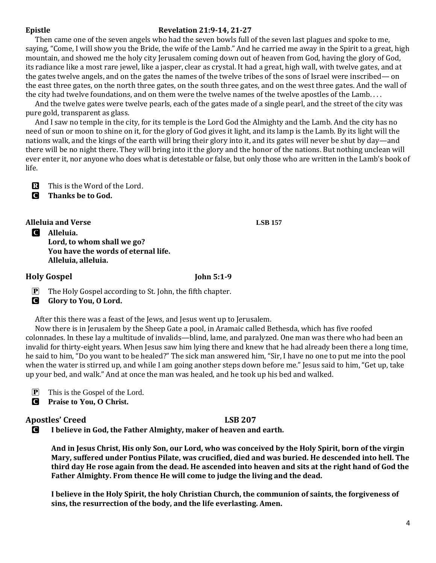### **Epistle Revelation 21:9-14, 21-27**

 Then came one of the seven angels who had the seven bowls full of the seven last plagues and spoke to me, saying, "Come, I will show you the Bride, the wife of the Lamb." And he carried me away in the Spirit to a great, high mountain, and showed me the holy city Jerusalem coming down out of heaven from God, having the glory of God, its radiance like a most rare jewel, like a jasper, clear as crystal. It had a great, high wall, with twelve gates, and at the gates twelve angels, and on the gates the names of the twelve tribes of the sons of Israel were inscribed— on the east three gates, on the north three gates, on the south three gates, and on the west three gates. And the wall of the city had twelve foundations, and on them were the twelve names of the twelve apostles of the Lamb. . . .

 And the twelve gates were twelve pearls, each of the gates made of a single pearl, and the street of the city was pure gold, transparent as glass.

 And I saw no temple in the city, for its temple is the Lord God the Almighty and the Lamb. And the city has no need of sun or moon to shine on it, for the glory of God gives it light, and its lamp is the Lamb. By its light will the nations walk, and the kings of the earth will bring their glory into it, and its gates will never be shut by day—and there will be no night there. They will bring into it the glory and the honor of the nations. But nothing unclean will ever enter it, nor anyone who does what is detestable or false, but only those who are written in the Lamb's book of life.

R This is the Word of the Lord.

C **Thanks be to God.**

**Alleluia and Verse LSB 157**

C **Alleluia. Lord, to whom shall we go? You have the words of eternal life. Alleluia, alleluia.**

## **Holy Gospel John 5:1-9**

- $\mathbf{P}$  The Holy Gospel according to St. John, the fifth chapter.
- C **Glory to You, O Lord.**

After this there was a feast of the Jews, and Jesus went up to Jerusalem.

 Now there is in Jerusalem by the Sheep Gate a pool, in Aramaic called Bethesda, which has five roofed colonnades. In these lay a multitude of invalids—blind, lame, and paralyzed. One man was there who had been an invalid for thirty-eight years. When Jesus saw him lying there and knew that he had already been there a long time, he said to him, "Do you want to be healed?" The sick man answered him, "Sir, I have no one to put me into the pool when the water is stirred up, and while I am going another steps down before me." Jesus said to him, "Get up, take up your bed, and walk." And at once the man was healed, and he took up his bed and walked.

P This is the Gospel of the Lord.

C **Praise to You, O Christ.**

## **Apostles' Creed LSB 207**

C **I believe in God, the Father Almighty, maker of heaven and earth.**

**And in Jesus Christ, His only Son, our Lord, who was conceived by the Holy Spirit, born of the virgin Mary, suffered under Pontius Pilate, was crucified, died and was buried. He descended into hell. The third day He rose again from the dead. He ascended into heaven and sits at the right hand of God the Father Almighty. From thence He will come to judge the living and the dead.**

**I believe in the Holy Spirit, the holy Christian Church, the communion of saints, the forgiveness of sins, the resurrection of the body, and the life everlasting. Amen.**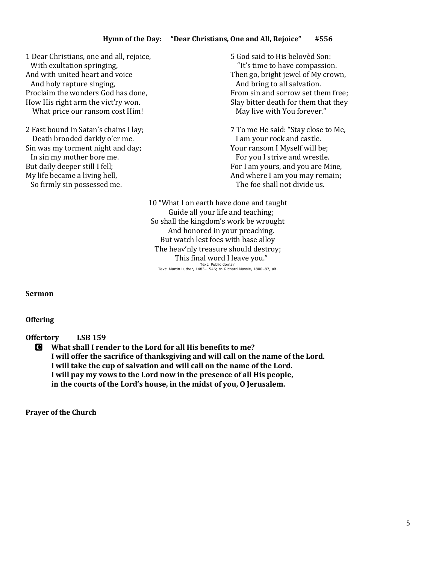1 Dear Christians, one and all, rejoice, With exultation springing, And with united heart and voice And holy rapture singing, Proclaim the wonders God has done, How His right arm the vict'ry won. What price our ransom cost Him!

2 Fast bound in Satan's chains I lay; Death brooded darkly o'er me. Sin was my torment night and day; In sin my mother bore me. But daily deeper still I fell; My life became a living hell, So firmly sin possessed me.

5 God said to His belovèd Son: "It's time to have compassion. Then go, bright jewel of My crown, And bring to all salvation. From sin and sorrow set them free; Slay bitter death for them that they May live with You forever."

7 To me He said: "Stay close to Me, I am your rock and castle. Your ransom I Myself will be; For you I strive and wrestle. For I am yours, and you are Mine, And where I am you may remain; The foe shall not divide us.

10 "What I on earth have done and taught Guide all your life and teaching; So shall the kingdom's work be wrought And honored in your preaching. But watch lest foes with base alloy The heav'nly treasure should destroy; This final word I leave you." Text: Public domain Text: Martin Luther, 1483–1546; tr. Richard Massie, 1800–87, alt.

**Sermon**

**Offering** 

**Offertory LSB 159**

C **What shall I render to the Lord for all His benefits to me? I will offer the sacrifice of thanksgiving and will call on the name of the Lord. I will take the cup of salvation and will call on the name of the Lord. I will pay my vows to the Lord now in the presence of all His people, in the courts of the Lord's house, in the midst of you, O Jerusalem.**

**Prayer of the Church**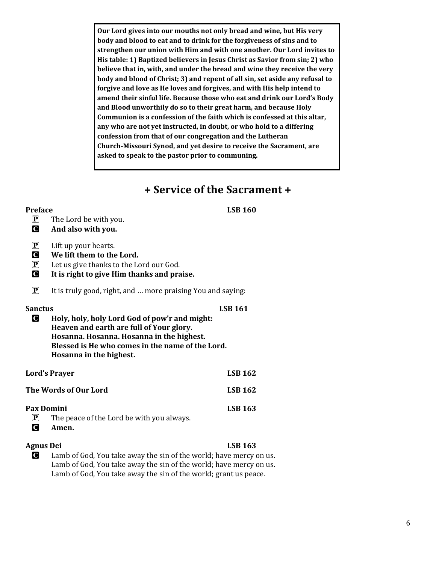**Our Lord gives into our mouths not only bread and wine, but His very body and blood to eat and to drink for the forgiveness of sins and to strengthen our union with Him and with one another. Our Lord invites to His table: 1) Baptized believers in Jesus Christ as Savior from sin; 2) who believe that in, with, and under the bread and wine they receive the very body and blood of Christ; 3) and repent of all sin, set aside any refusal to forgive and love as He loves and forgives, and with His help intend to amend their sinful life. Because those who eat and drink our Lord's Body and Blood unworthily do so to their great harm, and because Holy Communion is a confession of the faith which is confessed at this altar, any who are not yet instructed, in doubt, or who hold to a differing confession from that of our congregation and the Lutheran Church-Missouri Synod, and yet desire to receive the Sacrament, are asked to speak to the pastor prior to communing.** 

# **+ Service of the Sacrament +**

#### **Preface LSB 160**

- $\mathbf{P}$  The Lord be with you.
- C **And also with you.**

| $\left  \mathbf{P} \right $ | Lift up your hearts. |
|-----------------------------|----------------------|
|-----------------------------|----------------------|

- C **We lift them to the Lord.**
- $\mathbf{P}$  Let us give thanks to the Lord our God.
- C **It is right to give Him thanks and praise.**
- $\mathbf{P}$  It is truly good, right, and ... more praising You and saying:

### Sanctus LSB 161

C **Holy, holy, holy Lord God of pow'r and might: Heaven and earth are full of Your glory. Hosanna. Hosanna. Hosanna in the highest. Blessed is He who comes in the name of the Lord. Hosanna in the highest.**

| <b>Lord's Prayer</b>  |                                           | <b>LSB 162</b> |
|-----------------------|-------------------------------------------|----------------|
| The Words of Our Lord |                                           | <b>LSB 162</b> |
| Pax Domini            |                                           | <b>LSB 163</b> |
| $ {\bf P} $           | The peace of the Lord be with you always. |                |
| <b>C</b><br>Amen.     |                                           |                |

## **Agnus Dei LSB 163**

C Lamb of God, You take away the sin of the world; have mercy on us. Lamb of God, You take away the sin of the world; have mercy on us. Lamb of God, You take away the sin of the world; grant us peace.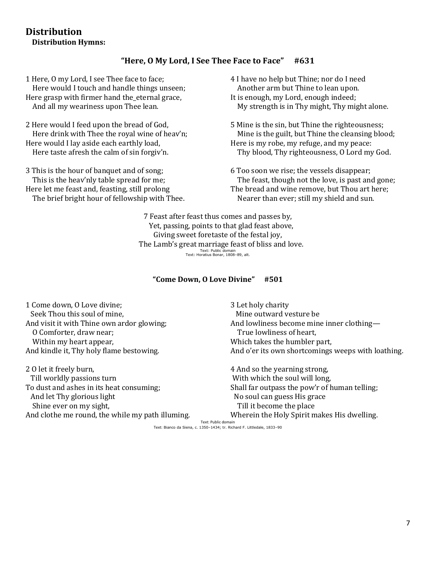## **Distribution Distribution Hymns:**

## **"Here, O My Lord, I See Thee Face to Face" #631**

1 Here, O my Lord, I see Thee face to face; Here would I touch and handle things unseen; Here grasp with firmer hand the\_eternal grace, And all my weariness upon Thee lean.

2 Here would I feed upon the bread of God, Here drink with Thee the royal wine of heav'n; Here would I lay aside each earthly load, Here taste afresh the calm of sin forgiv'n.

3 This is the hour of banquet and of song; This is the heav'nly table spread for me; Here let me feast and, feasting, still prolong The brief bright hour of fellowship with Thee. 4 I have no help but Thine; nor do I need Another arm but Thine to lean upon. It is enough, my Lord, enough indeed; My strength is in Thy might, Thy might alone.

5 Mine is the sin, but Thine the righteousness; Mine is the guilt, but Thine the cleansing blood; Here is my robe, my refuge, and my peace: Thy blood, Thy righteousness, O Lord my God.

6 Too soon we rise; the vessels disappear; The feast, though not the love, is past and gone; The bread and wine remove, but Thou art here; Nearer than ever; still my shield and sun.

7 Feast after feast thus comes and passes by, Yet, passing, points to that glad feast above, Giving sweet foretaste of the festal joy, The Lamb's great marriage feast of bliss and love. Text: Public domain Text: Horatius Bonar, 1808–89, alt.

### **"Come Down, O Love Divine" #501**

1 Come down, O Love divine; Seek Thou this soul of mine, And visit it with Thine own ardor glowing; O Comforter, draw near; Within my heart appear, And kindle it, Thy holy flame bestowing.

2 O let it freely burn, Till worldly passions turn To dust and ashes in its heat consuming; And let Thy glorious light Shine ever on my sight, And clothe me round, the while my path illuming. 3 Let holy charity Mine outward vesture be And lowliness become mine inner clothing— True lowliness of heart, Which takes the humbler part, And o'er its own shortcomings weeps with loathing.

4 And so the yearning strong, With which the soul will long, Shall far outpass the pow'r of human telling; No soul can guess His grace Till it become the place Wherein the Holy Spirit makes His dwelling. Text: Public domain

Text: Bianco da Siena, c. 1350–1434; tr. Richard F. Littledale, 1833–90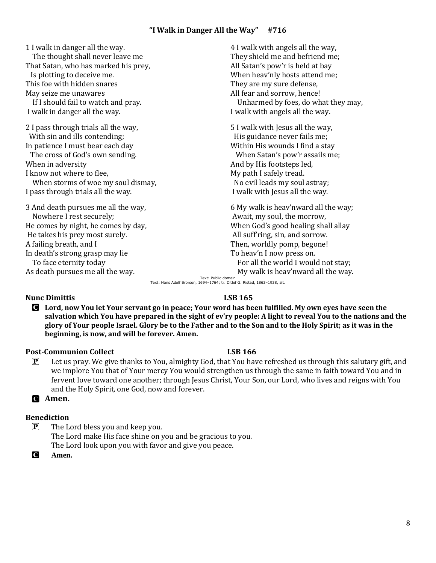1 I walk in danger all the way. The thought shall never leave me That Satan, who has marked his prey, Is plotting to deceive me. This foe with hidden snares May seize me unawares If I should fail to watch and pray. I walk in danger all the way. 2 I pass through trials all the way, With sin and ills contending; In patience I must bear each day The cross of God's own sending. When in adversity I know not where to flee, When storms of woe my soul dismay, I pass through trials all the way. 3 And death pursues me all the way, Nowhere I rest securely; He comes by night, he comes by day, He takes his prey most surely. A failing breath, and I In death's strong grasp may lie To face eternity today

4 I walk with angels all the way, They shield me and befriend me; All Satan's pow'r is held at bay When heav'nly hosts attend me; They are my sure defense, All fear and sorrow, hence! Unharmed by foes, do what they may, I walk with angels all the way.

5 I walk with Jesus all the way, His guidance never fails me; Within His wounds I find a stay When Satan's pow'r assails me; And by His footsteps led, My path I safely tread. No evil leads my soul astray; I walk with Jesus all the way.

6 My walk is heav'nward all the way; Await, my soul, the morrow, When God's good healing shall allay All suff'ring, sin, and sorrow. Then, worldly pomp, begone! To heav'n I now press on. For all the world I would not stay; My walk is heav'nward all the way.

Text: Public domain<br>Text: Hans Adolf Brorson, 1694–1764; tr. Ditlef G. Ristad, 1863–1938, alt.

### **Nunc Dimittis** LSB 165

As death pursues me all the way.

- C **Lord, now You let Your servant go in peace; Your word has been fulfilled. My own eyes have seen the salvation which You have prepared in the sight of ev'ry people: A light to reveal You to the nations and the glory of Your people Israel. Glory be to the Father and to the Son and to the Holy Spirit; as it was in the beginning, is now, and will be forever. Amen.**
	- we implore You that of Your mercy You would strengthen us through the same in faith toward You and in fervent love toward one another; through Jesus Christ, Your Son, our Lord, who lives and reigns with You and the Holy Spirit, one God, now and forever.

### C **Amen.**

### **Benediction**

 $\boxed{\mathbf{P}}$  The Lord bless you and keep you. The Lord make His face shine on you and be gracious to you. The Lord look upon you with favor and give you peace.

C **Amen.**

**Post-Communion Collect LSB 166** P Let us pray. We give thanks to You, almighty God, that You have refreshed us through this salutary gift, and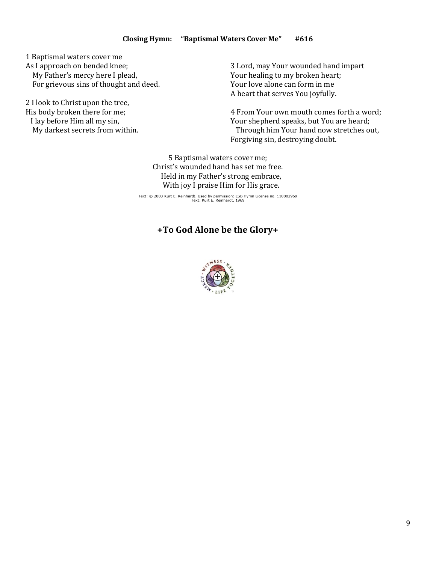1 Baptismal waters cover me As I approach on bended knee; My Father's mercy here I plead,

For grievous sins of thought and deed.

2 I look to Christ upon the tree, His body broken there for me; I lay before Him all my sin, My darkest secrets from within. 3 Lord, may Your wounded hand impart Your healing to my broken heart; Your love alone can form in me A heart that serves You joyfully.

4 From Your own mouth comes forth a word; Your shepherd speaks, but You are heard; Through him Your hand now stretches out, Forgiving sin, destroying doubt.

5 Baptismal waters cover me; Christ's wounded hand has set me free. Held in my Father's strong embrace, With joy I praise Him for His grace.

Text: © 2003 Kurt E. Reinhardt. Used by permission: LSB Hymn License no. 110002969 Text: Kurt E. Reinhardt, 1969

## **+To God Alone be the Glory+**

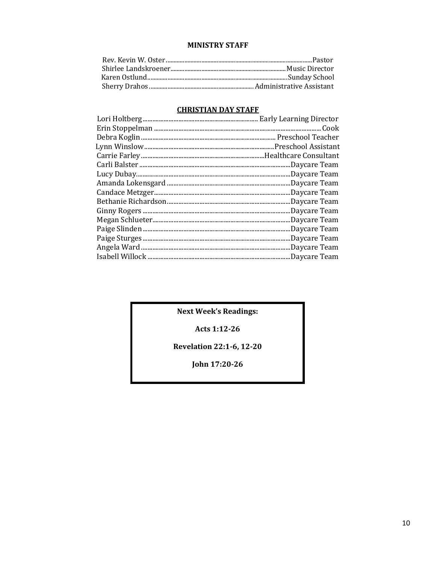### **MINISTRY STAFF**

## **CHRISTIAN DAY STAFF**

| .Cook         |
|---------------|
|               |
|               |
|               |
| Daycare Team. |
| Daycare Team. |
| Daycare Team. |
| Daycare Team. |
| Daycare Team. |
| Daycare Team. |
| Daycare Team  |
| .Daycare Team |
| Daycare Team. |
| Daycare Team. |
| Daycare Team. |

**Next Week's Readings:** 

Acts 1:12-26

**Revelation 22:1-6, 12-20** 

John 17:20-26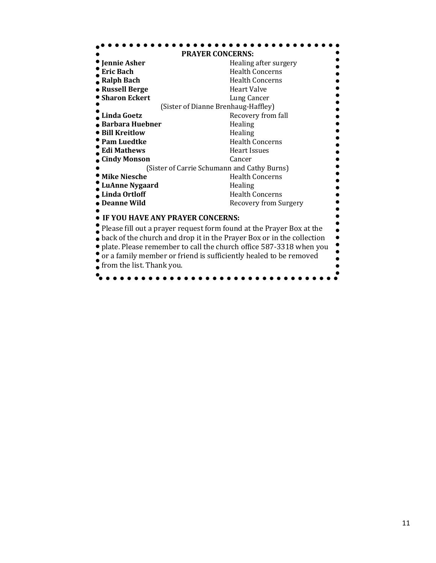| <b>PRAYER CONCERNS:</b>                                               |                                             |
|-----------------------------------------------------------------------|---------------------------------------------|
| Jennie Asher                                                          | Healing after surgery                       |
| <b>Eric Bach</b>                                                      | <b>Health Concerns</b>                      |
| <b>Ralph Bach</b>                                                     | <b>Health Concerns</b>                      |
| <b>Russell Berge</b>                                                  | <b>Heart Valve</b>                          |
| <b>Sharon Eckert</b>                                                  | Lung Cancer                                 |
| (Sister of Dianne Brenhaug-Haffley)                                   |                                             |
| Linda Goetz                                                           | Recovery from fall                          |
| <b>Barbara Huebner</b>                                                | Healing                                     |
| <b>Bill Kreitlow</b>                                                  | Healing                                     |
| <b>Pam Luedtke</b>                                                    | <b>Health Concerns</b>                      |
| <b>Edi Mathews</b>                                                    | <b>Heart Issues</b>                         |
| <b>Cindy Monson</b>                                                   | Cancer                                      |
|                                                                       | (Sister of Carrie Schumann and Cathy Burns) |
| ' Mike Niesche                                                        | <b>Health Concerns</b>                      |
| <b>LuAnne Nygaard</b>                                                 | Healing                                     |
| <b>Linda Ortloff</b>                                                  | <b>Health Concerns</b>                      |
| Deanne Wild                                                           | <b>Recovery from Surgery</b>                |
| IF YOU HAVE ANY PRAYER CONCERNS:                                      |                                             |
| Please fill out a prayer request form found at the Prayer Box at the  |                                             |
| back of the church and drop it in the Prayer Box or in the collection |                                             |
| plate. Please remember to call the church office 587-3318 when you    |                                             |
| or a family member or friend is sufficiently healed to be removed     |                                             |
| from the list. Thank you.                                             |                                             |
|                                                                       |                                             |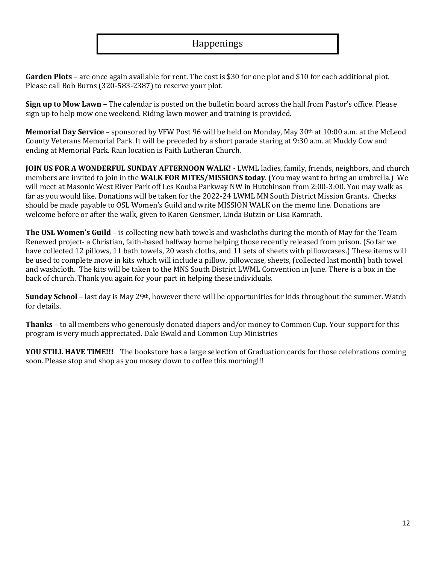# Happenings

**Garden Plots** – are once again available for rent. The cost is \$30 for one plot and \$10 for each additional plot. Please call Bob Burns (320-583-2387) to reserve your plot.

**Sign up to Mow Lawn –** The calendar is posted on the bulletin board across the hall from Pastor's office. Please sign up to help mow one weekend. Riding lawn mower and training is provided.

**Memorial Day Service –** sponsored by VFW Post 96 will be held on Monday, May 30th at 10:00 a.m. at the McLeod County Veterans Memorial Park. It will be preceded by a short parade staring at 9:30 a.m. at Muddy Cow and ending at Memorial Park. Rain location is Faith Lutheran Church.

**JOIN US FOR A WONDERFUL SUNDAY AFTERNOON WALK! -** LWML ladies, family, friends, neighbors, and church members are invited to join in the **WALK FOR MITES/MISSIONS today**. (You may want to bring an umbrella.) We will meet at Masonic West River Park off Les Kouba Parkway NW in Hutchinson from 2:00-3:00. You may walk as far as you would like. Donations will be taken for the 2022-24 LWML MN South District Mission Grants. Checks should be made payable to OSL Women's Guild and write MISSION WALK on the memo line. Donations are welcome before or after the walk, given to Karen Gensmer, Linda Butzin or Lisa Kamrath.

**The OSL Women's Guild** – is collecting new bath towels and washcloths during the month of May for the Team Renewed project- a Christian, faith-based halfway home helping those recently released from prison. (So far we have collected 12 pillows, 11 bath towels, 20 wash cloths, and 11 sets of sheets with pillowcases.) These items will be used to complete move in kits which will include a pillow, pillowcase, sheets, (collected last month) bath towel and washcloth. The kits will be taken to the MNS South District LWML Convention in June. There is a box in the back of church. Thank you again for your part in helping these individuals.

**Sunday School** – last day is May 29<sup>th</sup>, however there will be opportunities for kids throughout the summer. Watch for details.

**Thanks** – to all members who generously donated diapers and/or money to Common Cup. Your support for this program is very much appreciated. Dale Ewald and Common Cup Ministries

**YOU STILL HAVE TIME!!!** The bookstore has a large selection of Graduation cards for those celebrations coming soon. Please stop and shop as you mosey down to coffee this morning!!!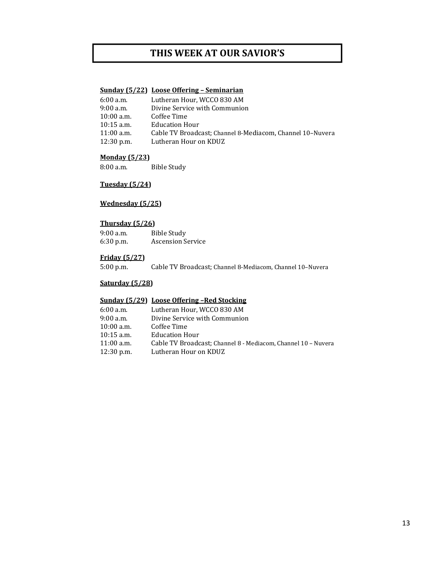# **THIS WEEK AT OUR SAVIOR'S**

#### **Sunday (5/22) Loose Offering – Seminarian**

| 6:00 a.m.    | Lutheran Hour, WCCO 830 AM                                |
|--------------|-----------------------------------------------------------|
| 9:00 a.m.    | Divine Service with Communion                             |
| 10:00 a.m.   | Coffee Time                                               |
| $10:15$ a.m. | <b>Education Hour</b>                                     |
| 11:00 a.m.   | Cable TV Broadcast: Channel 8-Mediacom. Channel 10-Nuvera |
| 12:30 p.m.   | Lutheran Hour on KDUZ                                     |

#### **Monday (5/23)**

8:00 a.m. Bible Study

### **Tuesday (5/24)**

### **Wednesday (5/25)**

#### **Thursday (5/26)**

| $9:00$ a.m. | Bible Study              |
|-------------|--------------------------|
| $6:30$ p.m. | <b>Ascension Service</b> |

#### **Friday (5/27)**

5:00 p.m. Cable TV Broadcast; Channel 8-Mediacom, Channel 10–Nuvera

#### **Saturday (5/28)**

#### **Sunday (5/29) Loose Offering –Red Stocking**

| 6:00 a.m.    | Lutheran Hour. WCCO 830 AM                                    |
|--------------|---------------------------------------------------------------|
| 9:00 a.m.    | Divine Service with Communion                                 |
| 10:00 a.m.   | Coffee Time                                                   |
| $10:15$ a.m. | <b>Education Hour</b>                                         |
| 11:00 a.m.   | Cable TV Broadcast; Channel 8 - Mediacom, Channel 10 - Nuvera |
| 12:30 p.m.   | Lutheran Hour on KDUZ                                         |